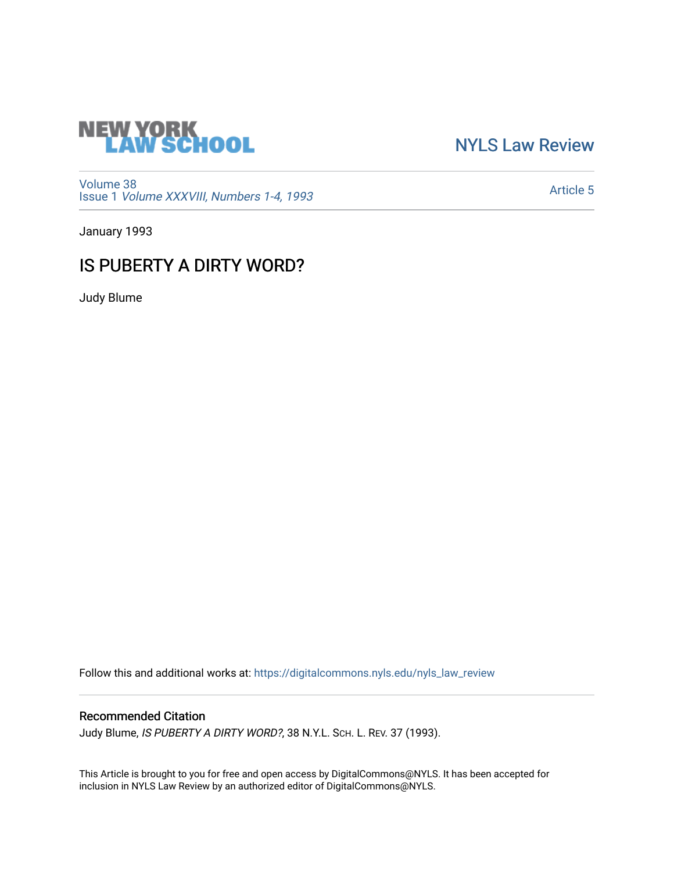

## [NYLS Law Review](https://digitalcommons.nyls.edu/nyls_law_review)

[Volume 38](https://digitalcommons.nyls.edu/nyls_law_review/vol38) Issue 1 [Volume XXXVIII, Numbers 1-4, 1993](https://digitalcommons.nyls.edu/nyls_law_review/vol38/iss1)

[Article 5](https://digitalcommons.nyls.edu/nyls_law_review/vol38/iss1/5) 

January 1993

# IS PUBERTY A DIRTY WORD?

Judy Blume

Follow this and additional works at: [https://digitalcommons.nyls.edu/nyls\\_law\\_review](https://digitalcommons.nyls.edu/nyls_law_review?utm_source=digitalcommons.nyls.edu%2Fnyls_law_review%2Fvol38%2Fiss1%2F5&utm_medium=PDF&utm_campaign=PDFCoverPages) 

### Recommended Citation

Judy Blume, IS PUBERTY A DIRTY WORD?, 38 N.Y.L. SCH. L. REV. 37 (1993).

This Article is brought to you for free and open access by DigitalCommons@NYLS. It has been accepted for inclusion in NYLS Law Review by an authorized editor of DigitalCommons@NYLS.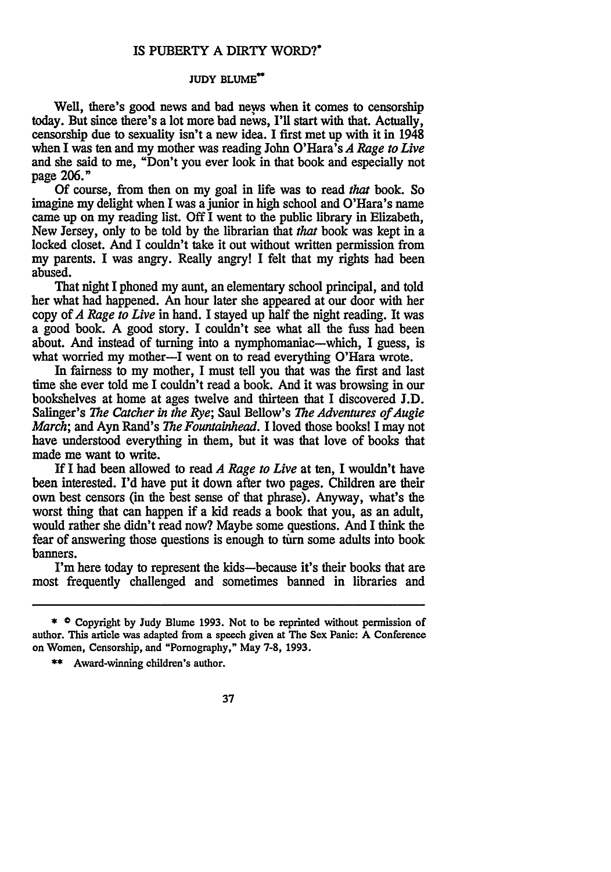### IS PUBERTY A DIRTY WORD?\*

#### **JUDY BLUME\*\***

Well, there's good news and bad news when it comes to censorship today. But since there's a lot more bad news, I'll start with that. Actually, censorship due to sexuality isn't a new idea. **I** first met up with it in 1948 when I was ten and my mother was reading John O'Hara's *A Rage to Live* and she said to me, "Don't you ever look in that book and especially not page **206."**

**Of** course, from then on my goal in life was to read *that* book. So **imagine** my delight when **I** was a junior in high school and O'Hara's name came up on my reading list. **Off I** went to the public library in Elizabeth, New Jersey, only **to** be told **by** the librarian that *that* book was kept in a locked closet. And I couldn't take it out without written permission from my parents. I was angry. Really angry! I felt that my rights had been abused.

That night I phoned my aunt, an elementary school principal, and told her what had happened. An hour later she appeared at our door with her copy of *A Rage to Live* in hand. I stayed up half the night reading. It was a good book. **A** good story. I couldn't see what all the fuss had been about. And instead of turning into a nymphomaniac-which, I guess, is what worried my mother-I went on to read everything O'Hara wrote.

In fairness **to** my mother, I must tell you that was the first and last time she ever told me I couldn't read a book. And it was browsing in our bookshelves at home at ages twelve and thirteen that I discovered **J.D.** Salinger's *The Catcher in the Rye;* Saul Bellow's *The Adventures of Augie March;* and Ayn Rand's *The Fountainhead.* **I** loved those books! **I** may not have understood everything in them, but it was that love of books that made me want to write.

If I had been allowed to read *A Rage to Live* at ten, I wouldn't have been interested. I'd have put it down after two pages. Children are their own best censors (in the best sense of that phrase). Anyway, what's the worst thing that can happen if a kid reads a book that you, as an adult, would rather she didn't read now? Maybe some questions. And I think the fear of answering those questions is enough to turn some adults into book banners.

I'm here today to represent the kids-because it's their books that are most frequently challenged and sometimes banned in libraries and

<sup>\*\*</sup> Award-winning children's author.



<sup>\*</sup> © Copyright **by** Judy Blume **1993. Not** to be reprinted without permission **of** author. **This article** was adapted from a **speech** given at The **Sex Panic: A** Conference on Women, Censorship, **and** "Pornography," **May 7-8, 1993.**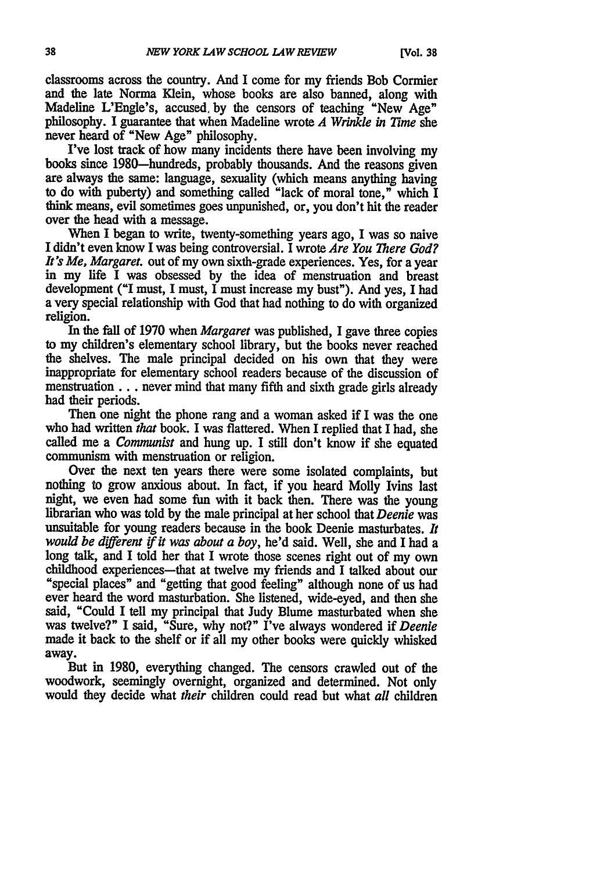classrooms across the country. And I come for my friends Bob Cormier and the late Norma Klein, whose books are also banned, along with Madeline L'Engle's, accused, **by** the censors of teaching "New Age" philosophy. **I** guarantee that when Madeline wrote *A Wrinkle in* **Time** she never heard of "New Age" philosophy.

I've lost track of how many incidents there have been involving my books since 1980-hundreds, probably thousands. And the reasons given are always the same: language, sexuality (which means anything having to do with puberty) and something called "lack of moral tone," which I **think** means, evil sometimes goes unpunished, or, you don't hit the reader over the head with a message.

When **I** began **to** write, twenty-something years ago, I was so naive I didn't even know I was being controversial. I wrote *Are You There God? It's Me, Margaret.* out of my own sixth-grade experiences. Yes, for a year in my life I was obsessed **by** the idea of menstruation and breast development ("I must, **I** must, **I** must increase my bust"). And yes, I had a very special relationship with God that had nothing to do with organized religion.

In the **fall** of **1970** when *Margaret* was published, **I** gave three copies **to** my children's elementary school library, but the books never reached the shelves. The male principal decided on his own that they were inappropriate for elementary school readers because of the discussion of **menstruation...** never mind that many fifth and sixth grade girls already had their periods.

Then one night the phone rang and a woman asked if I was the one who had written *that* book. I was flattered. When I replied that I had, she called me a *Communist* and hung up. **I** still don't know if she equated communism with menstruation or religion.

Over the next ten years there were some isolated complaints, but nothing to grow anxious about. In fact, if you heard Molly Ivins last night, we even had some fun with it back then. There was the young librarian who was told **by** the male principal at her school that *Deenie* was unsuitable for young readers because in the book Deenie masturbates. *It would be different* **if** *it was about a boy,* he'd said. Well, she and I had a long talk, and **I** told her that I wrote those scenes right out of my own childhood experiences-that at twelve my friends and I talked about our "special places" and "getting that good feeling" although none of us had ever heard the word masturbation. She listened, wide-eyed, and then she said, "Could I tell my principal that Judy Blume masturbated when she was twelve?" **I** said, "Sure, why not?" I've always wondered if *Deenie* made it back to the shelf or if all my other books were quickly whisked away.

But in **1980,** everything changed. The censors crawled out of the woodwork, seemingly overnight, organized and determined. Not only would they decide what *their* children could read but what *all* children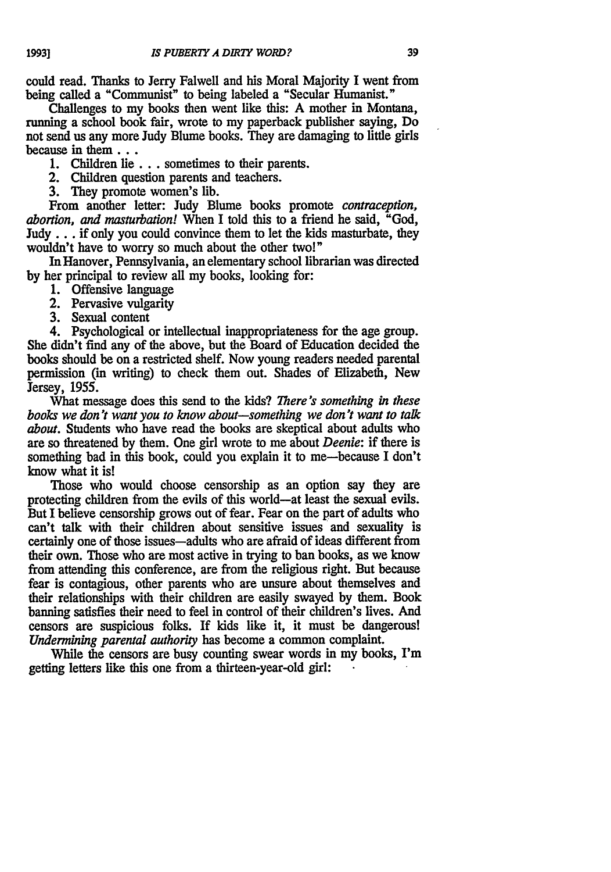could read. Thanks to Jerry Falwell and his Moral Majority I went from being called a "Communist" to being labeled a "Secular Humanist."

Challenges to my books then went like this: **A** mother in Montana, running a school book fair, wrote to my paperback publisher saying, Do not send us any more Judy Blume books. They are damaging to little girls because in **them...**

**1.** Children **lie...** sometimes to their parents.

2. Children question parents and teachers.

**3.** They promote women's **lib.**

From another letter: Judy Blume books promote *contraception, abortion, and masturbation!* When I told this to a friend he said, "God, Judy... if only you could convince them to let the kids masturbate, they wouldn't have to worry so much about the other two!"

In Hanover, Pennsylvania, an elementary school librarian was directed by her principal to review all my books, looking for:

- 1. Offensive language
- 2. Pervasive vulgarity
- **3.** Sexual content

4. Psychological or intellectual inappropriateness for the age group. She didn't find any of the above, but the Board of Education decided the books should be on a restricted shelf. Now young readers needed parental permission (in writing) to check them out. Shades of Elizabeth, New Jersey, 1955.

What message does this send to the kids? *There's something in these books we don't want you to know about-something we don't want to talk about.* Students who have read the books are skeptical about adults who are so threatened by them. One girl wrote to me about *Deenie:* if there is something bad in this book, could you explain it to me-because I don't know what it is!

Those who would choose censorship as an option say they are protecting children from the evils of this world-at least the sexual evils. But I believe censorship grows out of fear. Fear on the part of adults who can't talk with their children about sensitive issues and sexuality is certainly one of those issues-adults who are afraid of ideas different from their own. Those who are most active in trying to ban books, as we know from attending this conference, are from the religious right. But because fear is contagious, other parents who are unsure about themselves and their relationships with their children are easily swayed **by** them. Book banning satisfies their need to feel in control of their children's lives. And censors are suspicious folks. If kids like it, it must be dangerous! *Undermining parental authority* has become a common complaint.

While the censors are busy counting swear words in my books, I'm getting letters like this one from a thirteen-year-old girl: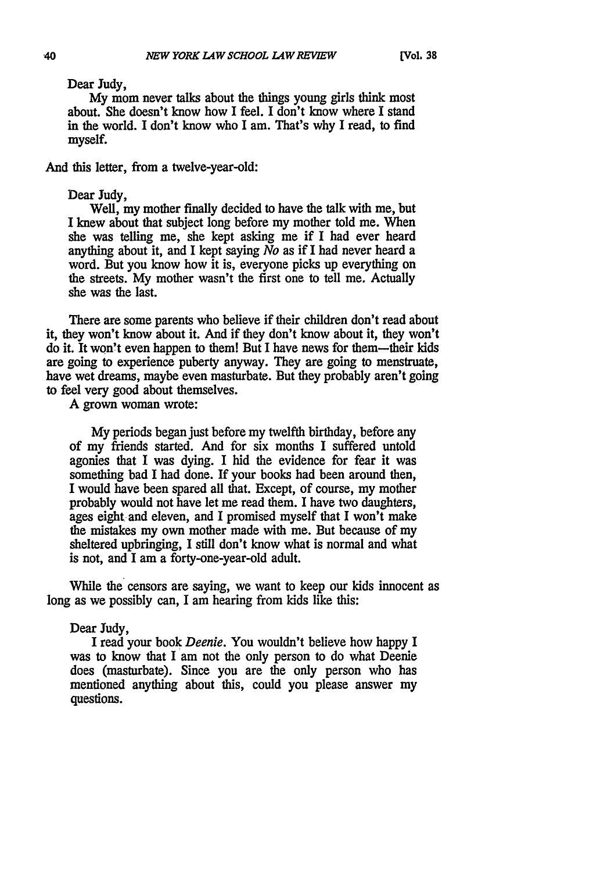#### Dear Judy,

**My** mom never talks about the things young girls think most about. She doesn't know how I feel. I don't know where **I** stand in the world. I don't know who I am. That's why I read, to find myself.

And this letter, from a twelve-year-old:

#### Dear Judy,

Well, my mother finally decided to have the talk with me, but I knew about that subject long before my mother told me. When she was telling me, she kept asking me if I had ever heard anything about it, and I kept saying *No* as if I had never heard a word. But you know how it is, everyone picks up everything on the streets. My mother wasn't the first one to tell me. Actually she was the last.

There are some parents who believe if their children don't read about it, they won't know about it. And if they don't know about it, they won't do it. It won't even happen to them! But I have news for them-their kids are going to experience puberty anyway. They are going to menstruate, have wet dreams, maybe even masturbate. But they probably aren't going to feel very good about themselves.

A grown woman wrote:

**My** periods began just before my twelfth birthday, before any of my friends started. And for six months I suffered untold agonies that I was dying. I hid the evidence for fear it was something bad I had done. If your books had been around then, I would have been spared all that. Except, of course, my mother probably would not have let me read them. I have two daughters, ages eight and eleven, and I promised myself that I won't make the mistakes my own mother made with me. But because of my sheltered upbringing, I still don't know what is normal and what is not, and I am a forty-one-year-old adult.

While the censors are saying, we want to keep our kids innocent as long as we possibly can, I am hearing from kids like this:

#### Dear Judy,

I read your book *Deenie.* You wouldn't believe how happy I was to know that I am not the only person to do what Deenie does (masturbate). Since you are the only person who has mentioned anything about this, could you please answer my questions.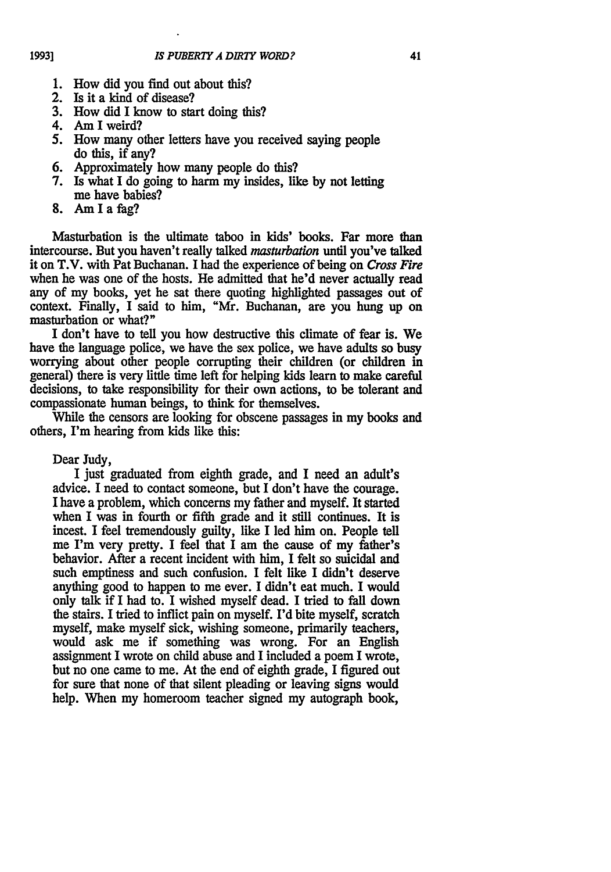- **1.** How did you find out about this?
- 2. Is it a kind of disease?
- **3.** How did **I** know to start doing this?
- 4. Am **I** weird?
- *5.* How many other letters have you received saying people do this, if any?
- **6.** Approximately how many people do this?
- **7.** Is what **I** do going **to** harm my insides, like **by** not letting me have babies?
- **8.** Am **I a** fag?

Masturbation is the ultimate taboo in kids' books. Far more than intercourse. But you haven't really talked *masturbation* until you've talked it on T.V. with Pat Buchanan. I had the experience of being on *Cross Fire* when he was one of the hosts. He admitted that he'd never actually read any of my books, yet he sat there quoting highlighted passages out of context. Finally, I said to him, "Mr. Buchanan, are you hung up on masturbation or what?"

I don't have to tell you how destructive this climate of fear is. We have the language police, we have the sex police, we have adults so busy worrying about other people corrupting their children (or children in general) there is very little time left for helping kids learn to make careful decisions, to take responsibility for their own actions, to be tolerant and compassionate human beings, to think for themselves.

While the censors are looking for obscene passages in my books and others, I'm hearing from kids like this:

Dear Judy,

I just graduated from eighth grade, and I need an adult's advice. I need to contact someone, but I don't have the courage. I have a problem, which concerns my father and myself. It started when I was in fourth or fifth grade and it still continues. It is incest. I feel tremendously guilty, like I led him on. People tell me I'm very pretty. I feel that I am the cause of my father's behavior. After a recent incident with him, I felt so suicidal and such emptiness and such confusion. I felt like I didn't deserve anything good to happen to me ever. I didn't eat much. I would only talk if I had **to.** I wished myself dead. I tried to **fall** down the stairs. I tried to inflict pain on myself. I'd bite myself, scratch myself, make myself sick, wishing someone, primarily teachers, would ask me if something was wrong. For an English assignment I wrote on child abuse and I included a poem I wrote, but no one came to me. At the end of eighth grade, I figured out for sure that none of that silent pleading or leaving signs would help. When my homeroom teacher signed my autograph book,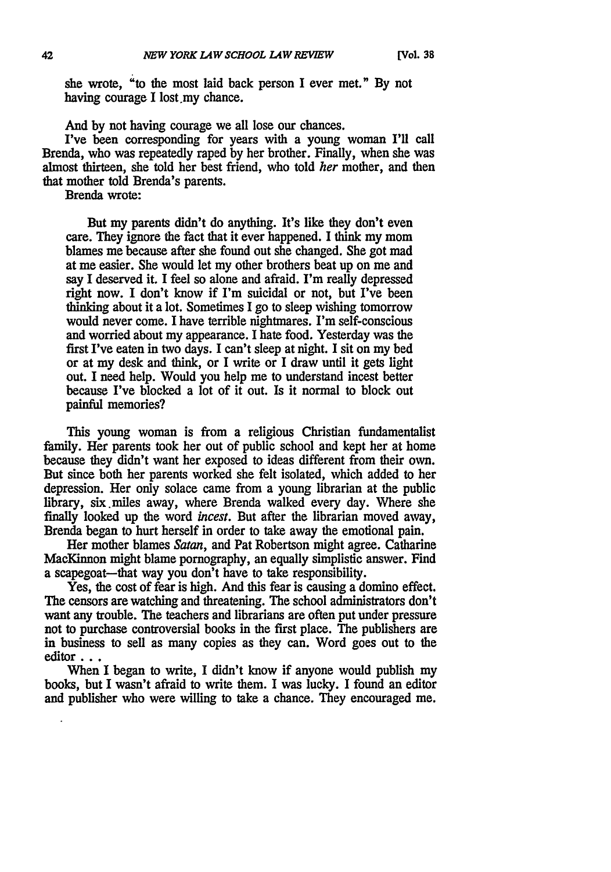she wrote, "to the most laid back person I ever met." **By** not having courage I lost my chance.

And **by** not having courage we all lose our chances.

I've been corresponding for years with a young woman **I'll** call Brenda, who was repeatedly raped **by** her brother. Finally, when she was almost thirteen, she told her best friend, who told *her* mother, and then that mother told Brenda's parents.

Brenda wrote:

But my parents didn't do anything. It's like they don't even care. They ignore the fact that it ever happened. I think my mom blames me because after she found out she changed. She got mad at me easier. She would let my other brothers beat up on me and say I deserved it. **I** feel so alone and afraid. I'm really depressed right now. I don't know if I'm suicidal or not, but I've been thinking about it a lot. Sometimes **I** go to sleep wishing tomorrow would never come. **I** have terrible nightmares. I'm self-conscious and worried about my appearance. I hate food. Yesterday was the first I've eaten in two days. I can't sleep at night. **I** sit on my bed or at my desk and **think,** or **I** write or I draw until it gets light out. I need help. Would you help me to understand incest better because I've blocked a lot of it out. Is it normal to block out painful memories?

This young woman is from a religious Christian fundamentalist family. Her parents took her out of public school and kept her at home because they didn't want her exposed to ideas different from their own. But since both her parents worked she felt isolated, which added to her depression. Her only solace came from a young librarian at the public library, six.miles away, where Brenda walked every day. Where she finally looked up the word *incest.* But after the librarian moved away, Brenda began to hurt herself in order to take away the emotional pain.

Her mother blames *Satan,* and Pat Robertson might agree. Catharine MacKinnon might blame pornography, an equally simplistic answer. Find a scapegoat-that way you don't have to take responsibility.

Yes, the cost of fear is high. And this fear is causing a domino effect. The censors are watching and threatening. The school administrators don't want any trouble. The teachers and librarians are often put under pressure not to purchase controversial books in the first place. The publishers are in business to sell as many copies as they can. Word goes out to the editor **...** When I began to write, I didn't know if anyone would publish my

books, but I wasn't afraid to write them. I was lucky. I found an editor and publisher who were willing to take a chance. They encouraged me.